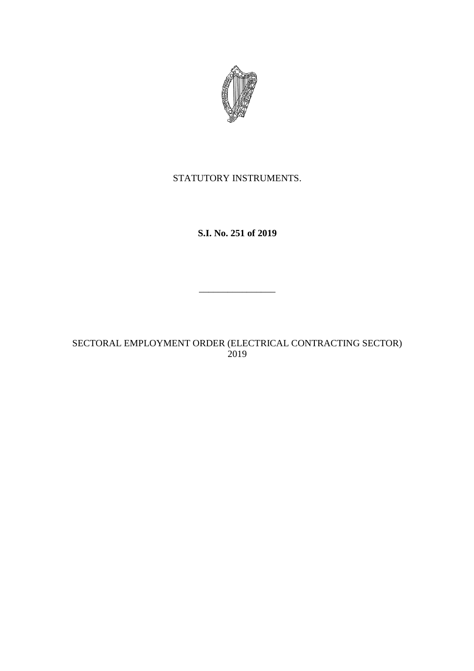

# STATUTORY INSTRUMENTS.

**S.I. No. 251 of 2019**

\_\_\_\_\_\_\_\_\_\_\_\_\_\_\_\_

SECTORAL EMPLOYMENT ORDER (ELECTRICAL CONTRACTING SECTOR) 2019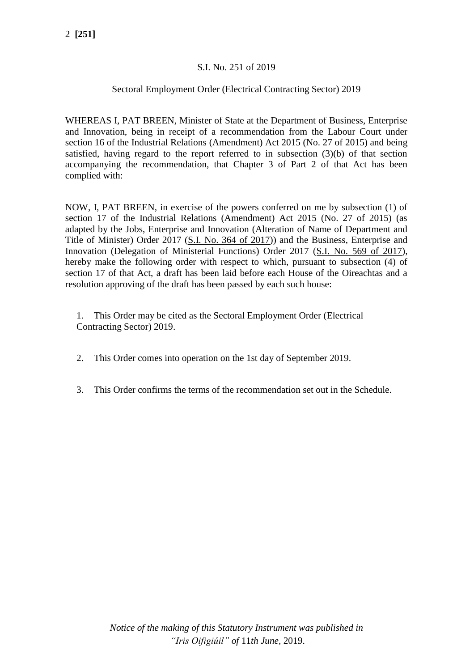# S.I. No. 251 of 2019

# Sectoral Employment Order (Electrical Contracting Sector) 2019

WHEREAS I, PAT BREEN, Minister of State at the Department of Business, Enterprise and Innovation, being in receipt of a recommendation from the Labour Court under section 16 of the Industrial Relations (Amendment) Act 2015 (No. 27 of 2015) and being satisfied, having regard to the report referred to in subsection (3)(b) of that section accompanying the recommendation, that Chapter 3 of Part 2 of that Act has been complied with:

NOW, I, PAT BREEN, in exercise of the powers conferred on me by subsection (1) of section 17 of the Industrial Relations (Amendment) Act 2015 (No. 27 of 2015) (as adapted by the Jobs, Enterprise and Innovation (Alteration of Name of Department and Title of Minister) Order 2017 [\(S.I. No. 364 of 2017\)](http://www.irishstatutebook.ie/2017/en/si/0364.html)) and the Business, Enterprise and Innovation (Delegation of Ministerial Functions) Order 2017 [\(S.I. No. 569 of 2017\)](http://www.irishstatutebook.ie/2017/en/si/0569.html), hereby make the following order with respect to which, pursuant to subsection (4) of section 17 of that Act, a draft has been laid before each House of the Oireachtas and a resolution approving of the draft has been passed by each such house:

1. This Order may be cited as the Sectoral Employment Order (Electrical Contracting Sector) 2019.

- 2. This Order comes into operation on the 1st day of September 2019.
- 3. This Order confirms the terms of the recommendation set out in the Schedule.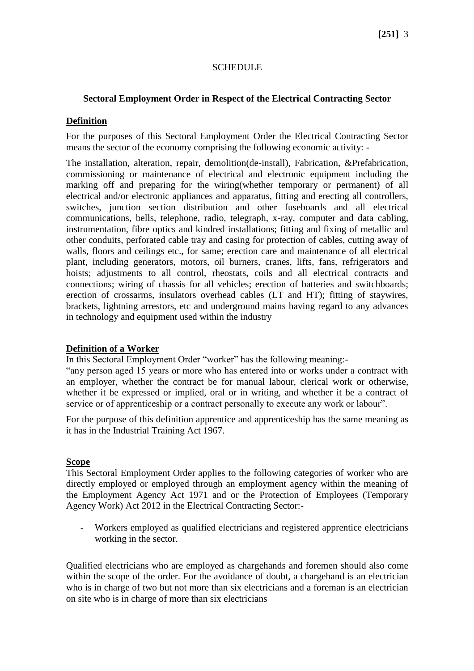# **SCHEDULE**

## **Sectoral Employment Order in Respect of the Electrical Contracting Sector**

#### **Definition**

For the purposes of this Sectoral Employment Order the Electrical Contracting Sector means the sector of the economy comprising the following economic activity: -

The installation, alteration, repair, demolition(de-install), Fabrication, &Prefabrication, commissioning or maintenance of electrical and electronic equipment including the marking off and preparing for the wiring(whether temporary or permanent) of all electrical and/or electronic appliances and apparatus, fitting and erecting all controllers, switches, junction section distribution and other fuseboards and all electrical communications, bells, telephone, radio, telegraph, x-ray, computer and data cabling, instrumentation, fibre optics and kindred installations; fitting and fixing of metallic and other conduits, perforated cable tray and casing for protection of cables, cutting away of walls, floors and ceilings etc., for same; erection care and maintenance of all electrical plant, including generators, motors, oil burners, cranes, lifts, fans, refrigerators and hoists; adjustments to all control, rheostats, coils and all electrical contracts and connections; wiring of chassis for all vehicles; erection of batteries and switchboards; erection of crossarms, insulators overhead cables (LT and HT); fitting of staywires, brackets, lightning arrestors, etc and underground mains having regard to any advances in technology and equipment used within the industry

## **Definition of a Worker**

In this Sectoral Employment Order "worker" has the following meaning:-

"any person aged 15 years or more who has entered into or works under a contract with an employer, whether the contract be for manual labour, clerical work or otherwise, whether it be expressed or implied, oral or in writing, and whether it be a contract of service or of apprenticeship or a contract personally to execute any work or labour".

For the purpose of this definition apprentice and apprenticeship has the same meaning as it has in the Industrial Training Act 1967.

## **Scope**

This Sectoral Employment Order applies to the following categories of worker who are directly employed or employed through an employment agency within the meaning of the Employment Agency Act 1971 and or the Protection of Employees (Temporary Agency Work) Act 2012 in the Electrical Contracting Sector:-

- Workers employed as qualified electricians and registered apprentice electricians working in the sector.

Qualified electricians who are employed as chargehands and foremen should also come within the scope of the order. For the avoidance of doubt, a chargehand is an electrician who is in charge of two but not more than six electricians and a foreman is an electrician on site who is in charge of more than six electricians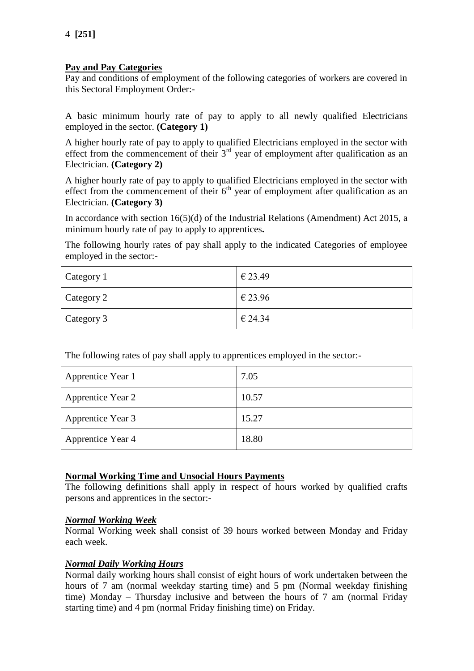# **Pay and Pay Categories**

Pay and conditions of employment of the following categories of workers are covered in this Sectoral Employment Order:-

A basic minimum hourly rate of pay to apply to all newly qualified Electricians employed in the sector. **(Category 1)**

A higher hourly rate of pay to apply to qualified Electricians employed in the sector with effect from the commencement of their  $3<sup>rd</sup>$  year of employment after qualification as an Electrician. **(Category 2)**

A higher hourly rate of pay to apply to qualified Electricians employed in the sector with effect from the commencement of their  $6<sup>th</sup>$  year of employment after qualification as an Electrician. **(Category 3)**

In accordance with section 16(5)(d) of the Industrial Relations (Amendment) Act 2015, a minimum hourly rate of pay to apply to apprentices**.**

The following hourly rates of pay shall apply to the indicated Categories of employee employed in the sector:-

| Category 1 | € 23.49 |
|------------|---------|
| Category 2 | € 23.96 |
| Category 3 | € 24.34 |

The following rates of pay shall apply to apprentices employed in the sector:-

| Apprentice Year 1 | 7.05  |
|-------------------|-------|
| Apprentice Year 2 | 10.57 |
| Apprentice Year 3 | 15.27 |
| Apprentice Year 4 | 18.80 |

# **Normal Working Time and Unsocial Hours Payments**

The following definitions shall apply in respect of hours worked by qualified crafts persons and apprentices in the sector:-

## *Normal Working Week*

Normal Working week shall consist of 39 hours worked between Monday and Friday each week.

# *Normal Daily Working Hours*

Normal daily working hours shall consist of eight hours of work undertaken between the hours of 7 am (normal weekday starting time) and 5 pm (Normal weekday finishing time) Monday – Thursday inclusive and between the hours of 7 am (normal Friday starting time) and 4 pm (normal Friday finishing time) on Friday.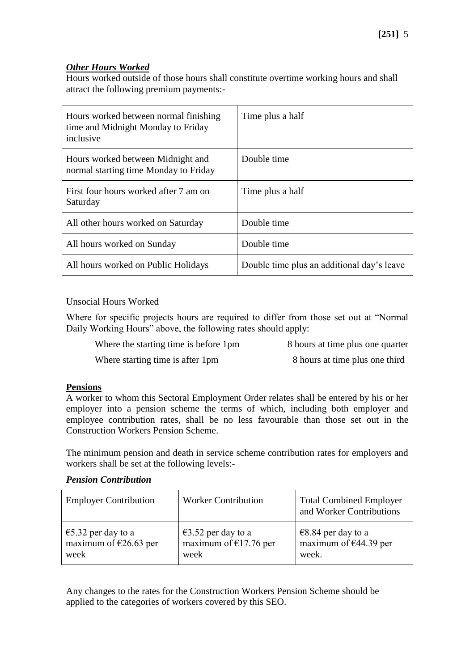# *Other Hours Worked*

Hours worked outside of those hours shall constitute overtime working hours and shall attract the following premium payments:-

| Hours worked between normal finishing<br>time and Midnight Monday to Friday<br>inclusive | Time plus a half                           |
|------------------------------------------------------------------------------------------|--------------------------------------------|
| Hours worked between Midnight and<br>normal starting time Monday to Friday               | Double time                                |
| First four hours worked after 7 am on<br>Saturday                                        | Time plus a half                           |
| All other hours worked on Saturday                                                       | Double time                                |
| All hours worked on Sunday                                                               | Double time                                |
| All hours worked on Public Holidays                                                      | Double time plus an additional day's leave |

Unsocial Hours Worked

Where for specific projects hours are required to differ from those set out at "Normal Daily Working Hours" above, the following rates should apply:

|  | Where the starting time is before 1pm | 8 hours at time plus one quarter |
|--|---------------------------------------|----------------------------------|
|--|---------------------------------------|----------------------------------|

Where starting time is after 1pm 8 hours at time plus one third

## **Pensions**

A worker to whom this Sectoral Employment Order relates shall be entered by his or her employer into a pension scheme the terms of which, including both employer and employee contribution rates, shall be no less favourable than those set out in the Construction Workers Pension Scheme.

The minimum pension and death in service scheme contribution rates for employers and workers shall be set at the following levels:-

# *Pension Contribution*

| <b>Employer Contribution</b>    | <b>Worker Contribution</b> | <b>Total Combined Employer</b><br>and Worker Contributions |
|---------------------------------|----------------------------|------------------------------------------------------------|
| €5.32 per day to a              | €3.52 per day to a         | €8.84 per day to a                                         |
| maximum of $\epsilon$ 26.63 per | maximum of $£17.76$ per    | maximum of $€44.39$ per                                    |
| week                            | week                       | week.                                                      |

Any changes to the rates for the Construction Workers Pension Scheme should be applied to the categories of workers covered by this SEO.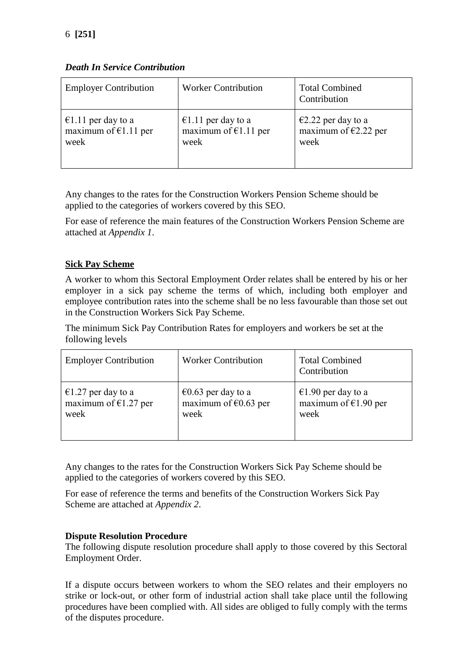*Death In Service Contribution*

| <b>Employer Contribution</b> | <b>Worker Contribution</b> | <b>Total Combined</b><br>Contribution |
|------------------------------|----------------------------|---------------------------------------|
| €1.11 per day to a           | €1.11 per day to a         | €2.22 per day to a                    |
| maximum of $€1.11$ per       | maximum of $E1.11$ per     | maximum of $E2.22$ per                |
| week                         | week                       | week                                  |

Any changes to the rates for the Construction Workers Pension Scheme should be applied to the categories of workers covered by this SEO.

For ease of reference the main features of the Construction Workers Pension Scheme are attached at *Appendix 1*.

# **Sick Pay Scheme**

A worker to whom this Sectoral Employment Order relates shall be entered by his or her employer in a sick pay scheme the terms of which, including both employer and employee contribution rates into the scheme shall be no less favourable than those set out in the Construction Workers Sick Pay Scheme.

The minimum Sick Pay Contribution Rates for employers and workers be set at the following levels

| <b>Employer Contribution</b> | <b>Worker Contribution</b>     | <b>Total Combined</b><br>Contribution |
|------------------------------|--------------------------------|---------------------------------------|
| €1.27 per day to a           | €0.63 per day to a             | €1.90 per day to a                    |
| maximum of $€1.27$ per       | maximum of $\epsilon$ 0.63 per | maximum of $€1.90$ per                |
| week                         | week                           | week                                  |

Any changes to the rates for the Construction Workers Sick Pay Scheme should be applied to the categories of workers covered by this SEO.

For ease of reference the terms and benefits of the Construction Workers Sick Pay Scheme are attached at *Appendix 2*.

# **Dispute Resolution Procedure**

The following dispute resolution procedure shall apply to those covered by this Sectoral Employment Order.

If a dispute occurs between workers to whom the SEO relates and their employers no strike or lock-out, or other form of industrial action shall take place until the following procedures have been complied with. All sides are obliged to fully comply with the terms of the disputes procedure.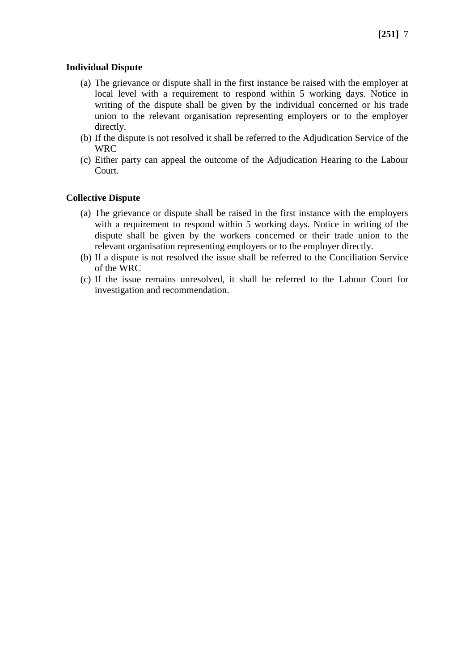## **Individual Dispute**

- (a) The grievance or dispute shall in the first instance be raised with the employer at local level with a requirement to respond within 5 working days. Notice in writing of the dispute shall be given by the individual concerned or his trade union to the relevant organisation representing employers or to the employer directly.
- (b) If the dispute is not resolved it shall be referred to the Adjudication Service of the WRC
- (c) Either party can appeal the outcome of the Adjudication Hearing to the Labour Court.

## **Collective Dispute**

- (a) The grievance or dispute shall be raised in the first instance with the employers with a requirement to respond within 5 working days. Notice in writing of the dispute shall be given by the workers concerned or their trade union to the relevant organisation representing employers or to the employer directly.
- (b) If a dispute is not resolved the issue shall be referred to the Conciliation Service of the WRC
- (c) If the issue remains unresolved, it shall be referred to the Labour Court for investigation and recommendation.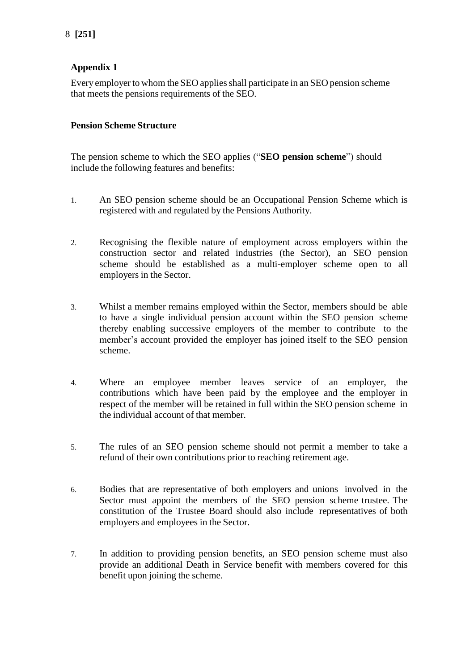# **Appendix 1**

Every employer to whom the SEO appliesshall participate in an SEO pension scheme that meets the pensions requirements of the SEO.

# **Pension Scheme Structure**

The pension scheme to which the SEO applies ("**SEO pension scheme**") should include the following features and benefits:

- 1. An SEO pension scheme should be an Occupational Pension Scheme which is registered with and regulated by the Pensions Authority.
- 2. Recognising the flexible nature of employment across employers within the construction sector and related industries (the Sector), an SEO pension scheme should be established as a multi-employer scheme open to all employers in the Sector.
- 3. Whilst a member remains employed within the Sector, members should be able to have a single individual pension account within the SEO pension scheme thereby enabling successive employers of the member to contribute to the member's account provided the employer has joined itself to the SEO pension scheme.
- 4. Where an employee member leaves service of an employer, the contributions which have been paid by the employee and the employer in respect of the member will be retained in full within the SEO pension scheme in the individual account of that member.
- 5. The rules of an SEO pension scheme should not permit a member to take a refund of their own contributions prior to reaching retirement age.
- 6. Bodies that are representative of both employers and unions involved in the Sector must appoint the members of the SEO pension scheme trustee. The constitution of the Trustee Board should also include representatives of both employers and employees in the Sector.
- 7. In addition to providing pension benefits, an SEO pension scheme must also provide an additional Death in Service benefit with members covered for this benefit upon joining the scheme.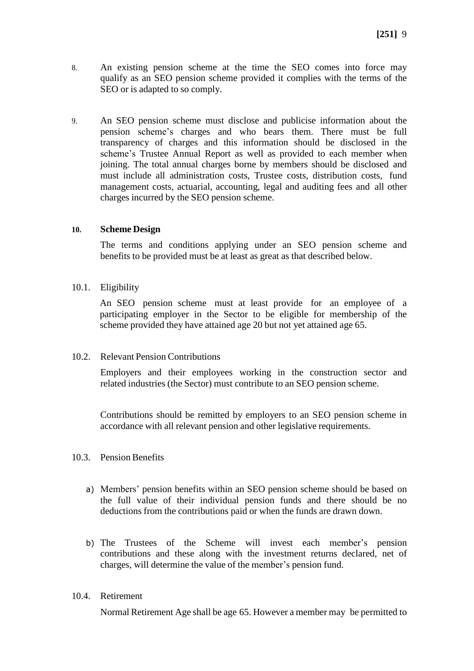- 8. An existing pension scheme at the time the SEO comes into force may qualify as an SEO pension scheme provided it complies with the terms of the SEO or is adapted to so comply.
- 9. An SEO pension scheme must disclose and publicise information about the pension scheme's charges and who bears them. There must be full transparency of charges and this information should be disclosed in the scheme's Trustee Annual Report as well as provided to each member when joining. The total annual charges borne by members should be disclosed and must include all administration costs, Trustee costs, distribution costs, fund management costs, actuarial, accounting, legal and auditing fees and all other charges incurred by the SEO pension scheme.

#### **10. Scheme Design**

The terms and conditions applying under an SEO pension scheme and benefits to be provided must be at least as great as that described below.

10.1. Eligibility

An SEO pension scheme must at least provide for an employee of a participating employer in the Sector to be eligible for membership of the scheme provided they have attained age 20 but not yet attained age 65.

#### 10.2. Relevant Pension Contributions

Employers and their employees working in the construction sector and related industries (the Sector) must contribute to an SEO pension scheme.

Contributions should be remitted by employers to an SEO pension scheme in accordance with all relevant pension and other legislative requirements.

#### 10.3. Pension Benefits

- a) Members' pension benefits within an SEO pension scheme should be based on the full value of their individual pension funds and there should be no deductions from the contributions paid or when the funds are drawn down.
- b) The Trustees of the Scheme will invest each member's pension contributions and these along with the investment returns declared, net of charges, will determine the value of the member's pension fund.

## 10.4. Retirement

Normal Retirement Age shall be age 65. However a member may be permitted to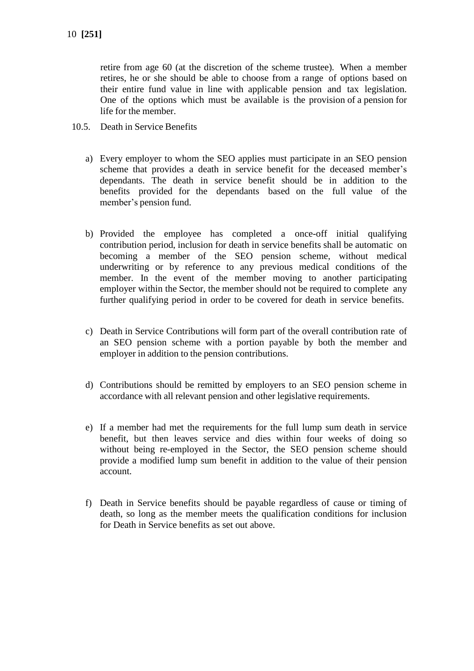retire from age 60 (at the discretion of the scheme trustee). When a member retires, he or she should be able to choose from a range of options based on their entire fund value in line with applicable pension and tax legislation. One of the options which must be available is the provision of a pension for life for the member.

- 10.5. Death in Service Benefits
	- a) Every employer to whom the SEO applies must participate in an SEO pension scheme that provides a death in service benefit for the deceased member's dependants. The death in service benefit should be in addition to the benefits provided for the dependants based on the full value of the member's pension fund.
	- b) Provided the employee has completed a once-off initial qualifying contribution period, inclusion for death in service benefits shall be automatic on becoming a member of the SEO pension scheme, without medical underwriting or by reference to any previous medical conditions of the member. In the event of the member moving to another participating employer within the Sector, the member should not be required to complete any further qualifying period in order to be covered for death in service benefits.
	- c) Death in Service Contributions will form part of the overall contribution rate of an SEO pension scheme with a portion payable by both the member and employer in addition to the pension contributions.
	- d) Contributions should be remitted by employers to an SEO pension scheme in accordance with all relevant pension and other legislative requirements.
	- e) If a member had met the requirements for the full lump sum death in service benefit, but then leaves service and dies within four weeks of doing so without being re-employed in the Sector, the SEO pension scheme should provide a modified lump sum benefit in addition to the value of their pension account.
	- f) Death in Service benefits should be payable regardless of cause or timing of death, so long as the member meets the qualification conditions for inclusion for Death in Service benefits as set out above.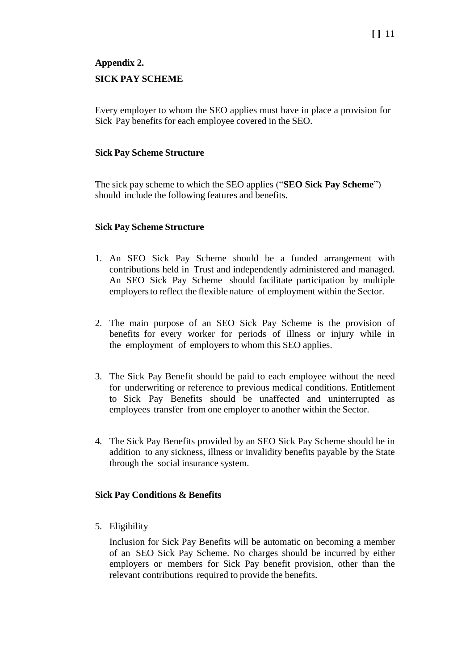# **Appendix 2. SICK PAY SCHEME**

Every employer to whom the SEO applies must have in place a provision for Sick Pay benefits for each employee covered in the SEO.

## **Sick Pay Scheme Structure**

The sick pay scheme to which the SEO applies ("**SEO Sick Pay Scheme**") should include the following features and benefits.

## **Sick Pay Scheme Structure**

- 1. An SEO Sick Pay Scheme should be a funded arrangement with contributions held in Trust and independently administered and managed. An SEO Sick Pay Scheme should facilitate participation by multiple employers to reflect the flexible nature of employment within the Sector.
- 2. The main purpose of an SEO Sick Pay Scheme is the provision of benefits for every worker for periods of illness or injury while in the employment of employers to whom this SEO applies.
- 3. The Sick Pay Benefit should be paid to each employee without the need for underwriting or reference to previous medical conditions. Entitlement to Sick Pay Benefits should be unaffected and uninterrupted as employees transfer from one employer to another within the Sector.
- 4. The Sick Pay Benefits provided by an SEO Sick Pay Scheme should be in addition to any sickness, illness or invalidity benefits payable by the State through the social insurance system.

## **Sick Pay Conditions & Benefits**

5. Eligibility

Inclusion for Sick Pay Benefits will be automatic on becoming a member of an SEO Sick Pay Scheme. No charges should be incurred by either employers or members for Sick Pay benefit provision, other than the relevant contributions required to provide the benefits.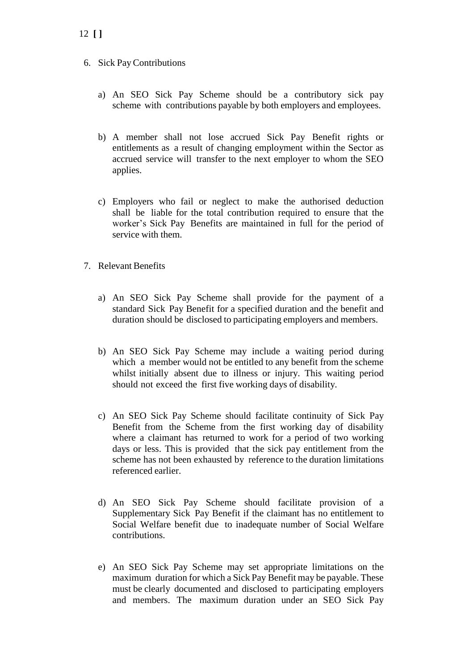- a) An SEO Sick Pay Scheme should be a contributory sick pay scheme with contributions payable by both employers and employees.
- b) A member shall not lose accrued Sick Pay Benefit rights or entitlements as a result of changing employment within the Sector as accrued service will transfer to the next employer to whom the SEO applies.
- c) Employers who fail or neglect to make the authorised deduction shall be liable for the total contribution required to ensure that the worker's Sick Pay Benefits are maintained in full for the period of service with them.
- 7. Relevant Benefits
	- a) An SEO Sick Pay Scheme shall provide for the payment of a standard Sick Pay Benefit for a specified duration and the benefit and duration should be disclosed to participating employers and members.
	- b) An SEO Sick Pay Scheme may include a waiting period during which a member would not be entitled to any benefit from the scheme whilst initially absent due to illness or injury. This waiting period should not exceed the first five working days of disability.
	- c) An SEO Sick Pay Scheme should facilitate continuity of Sick Pay Benefit from the Scheme from the first working day of disability where a claimant has returned to work for a period of two working days or less. This is provided that the sick pay entitlement from the scheme has not been exhausted by reference to the duration limitations referenced earlier.
	- d) An SEO Sick Pay Scheme should facilitate provision of a Supplementary Sick Pay Benefit if the claimant has no entitlement to Social Welfare benefit due to inadequate number of Social Welfare contributions.
	- e) An SEO Sick Pay Scheme may set appropriate limitations on the maximum duration for which a Sick Pay Benefit may be payable. These must be clearly documented and disclosed to participating employers and members. The maximum duration under an SEO Sick Pay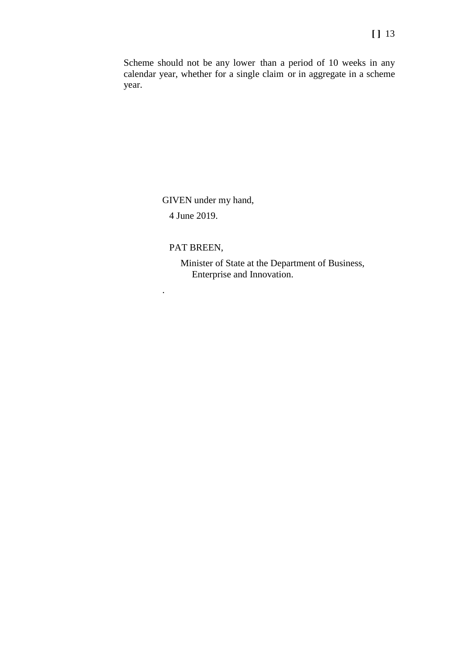Scheme should not be any lower than a period of 10 weeks in any calendar year, whether for a single claim or in aggregate in a scheme year.

GIVEN under my hand,

4 June 2019.

## PAT BREEN,

.

Minister of State at the Department of Business, Enterprise and Innovation.